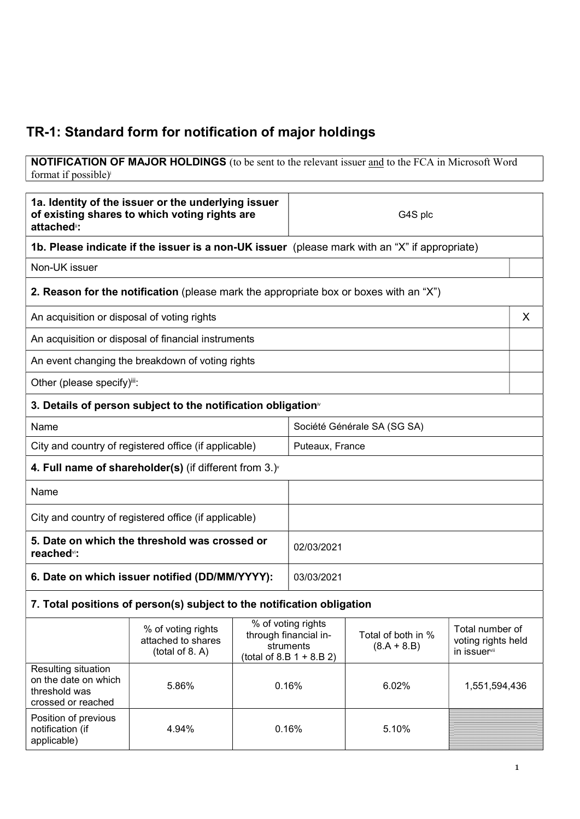## TR-1: Standard form for notification of major holdings

NOTIFICATION OF MAJOR HOLDINGS (to be sent to the relevant issuer and to the FCA in Microsoft Word format if possible)<sup>i</sup>

| 1a. Identity of the issuer or the underlying issuer<br>of existing shares to which voting rights are<br>attached <sup>®</sup> : |                                                                                               |                             | G4S plc                                                                                |                                     |                                                       |   |
|---------------------------------------------------------------------------------------------------------------------------------|-----------------------------------------------------------------------------------------------|-----------------------------|----------------------------------------------------------------------------------------|-------------------------------------|-------------------------------------------------------|---|
|                                                                                                                                 | 1b. Please indicate if the issuer is a non-UK issuer (please mark with an "X" if appropriate) |                             |                                                                                        |                                     |                                                       |   |
| Non-UK issuer                                                                                                                   |                                                                                               |                             |                                                                                        |                                     |                                                       |   |
|                                                                                                                                 | <b>2. Reason for the notification</b> (please mark the appropriate box or boxes with an "X")  |                             |                                                                                        |                                     |                                                       |   |
| An acquisition or disposal of voting rights                                                                                     |                                                                                               |                             |                                                                                        |                                     |                                                       | X |
|                                                                                                                                 | An acquisition or disposal of financial instruments                                           |                             |                                                                                        |                                     |                                                       |   |
|                                                                                                                                 | An event changing the breakdown of voting rights                                              |                             |                                                                                        |                                     |                                                       |   |
| Other (please specify)iii:                                                                                                      |                                                                                               |                             |                                                                                        |                                     |                                                       |   |
|                                                                                                                                 | 3. Details of person subject to the notification obligation <sup>®</sup>                      |                             |                                                                                        |                                     |                                                       |   |
| Name                                                                                                                            |                                                                                               | Société Générale SA (SG SA) |                                                                                        |                                     |                                                       |   |
|                                                                                                                                 | City and country of registered office (if applicable)                                         |                             | Puteaux, France                                                                        |                                     |                                                       |   |
|                                                                                                                                 | 4. Full name of shareholder(s) (if different from $3.$ ) $\sqrt{ }$                           |                             |                                                                                        |                                     |                                                       |   |
| Name                                                                                                                            |                                                                                               |                             |                                                                                        |                                     |                                                       |   |
| City and country of registered office (if applicable)                                                                           |                                                                                               |                             |                                                                                        |                                     |                                                       |   |
| 5. Date on which the threshold was crossed or<br>reached <sup>vi</sup> :                                                        |                                                                                               |                             | 02/03/2021                                                                             |                                     |                                                       |   |
| 6. Date on which issuer notified (DD/MM/YYYY):                                                                                  |                                                                                               |                             | 03/03/2021                                                                             |                                     |                                                       |   |
|                                                                                                                                 | 7. Total positions of person(s) subject to the notification obligation                        |                             |                                                                                        |                                     |                                                       |   |
|                                                                                                                                 | % of voting rights<br>attached to shares<br>(total of 8. A)                                   |                             | % of voting rights<br>through financial in-<br>struments<br>$(total of 8.B 1 + 8.B 2)$ | Total of both in %<br>$(8.A + 8.B)$ | Total number of<br>voting rights held<br>in issuervii |   |
| Resulting situation<br>on the date on which<br>threshold was<br>crossed or reached                                              | 5.86%                                                                                         | 0.16%                       |                                                                                        | 6.02%                               | 1,551,594,436                                         |   |
| Position of previous<br>notification (if<br>applicable)                                                                         | 4.94%                                                                                         | 0.16%                       |                                                                                        | 5.10%                               |                                                       |   |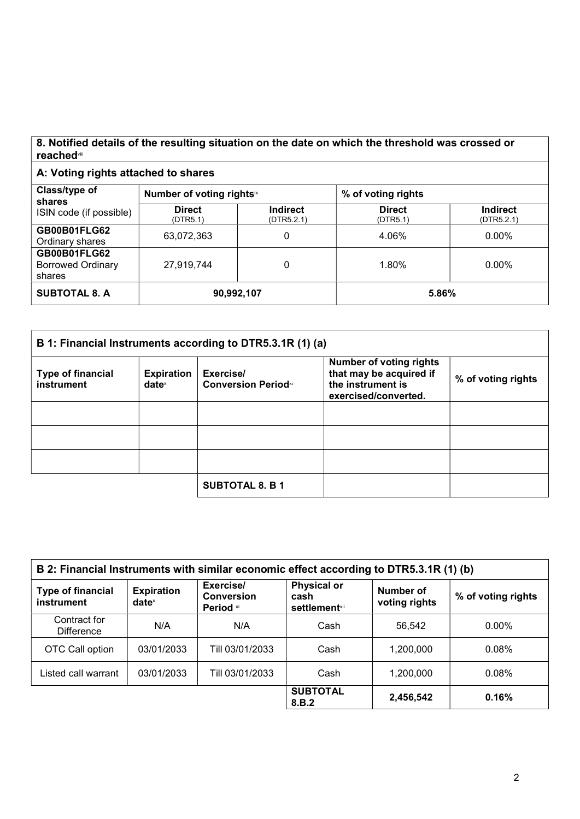## 8. Notified details of the resulting situation on the date on which the threshold was crossed or reached<sup>viii</sup>

## A: Voting rights attached to shares

| Class/type of<br>shares<br>ISIN code (if possible) | Number of voting rightsix |                               | % of voting rights        |                               |
|----------------------------------------------------|---------------------------|-------------------------------|---------------------------|-------------------------------|
|                                                    | <b>Direct</b><br>(DTR5.1) | <b>Indirect</b><br>(DTR5.2.1) | <b>Direct</b><br>(DTR5.1) | <b>Indirect</b><br>(DTR5.2.1) |
| GB00B01FLG62<br>Ordinary shares                    | 63,072,363                | 0                             | 4.06%                     | $0.00\%$                      |
| GB00B01FLG62<br><b>Borrowed Ordinary</b><br>shares | 27,919,744                |                               | 1.80%                     | $0.00\%$                      |
| <b>SUBTOTAL 8. A</b>                               | 90,992,107                |                               | 5.86%                     |                               |

| B 1: Financial Instruments according to DTR5.3.1R (1) (a) |                                        |                                         |                                                                                                        |                    |
|-----------------------------------------------------------|----------------------------------------|-----------------------------------------|--------------------------------------------------------------------------------------------------------|--------------------|
| <b>Type of financial</b><br>instrument                    | <b>Expiration</b><br>date <sup>x</sup> | Exercise/<br><b>Conversion Periodxi</b> | <b>Number of voting rights</b><br>that may be acquired if<br>the instrument is<br>exercised/converted. | % of voting rights |
|                                                           |                                        |                                         |                                                                                                        |                    |
|                                                           |                                        |                                         |                                                                                                        |                    |
|                                                           |                                        |                                         |                                                                                                        |                    |
|                                                           |                                        | <b>SUBTOTAL 8. B 1</b>                  |                                                                                                        |                    |

| B 2: Financial Instruments with similar economic effect according to DTR5.3.1R (1) (b) |                               |                                             |                                                     |                            |                    |
|----------------------------------------------------------------------------------------|-------------------------------|---------------------------------------------|-----------------------------------------------------|----------------------------|--------------------|
| <b>Type of financial</b><br>instrument                                                 | <b>Expiration</b><br>$date^x$ | Exercise/<br><b>Conversion</b><br>Period xi | <b>Physical or</b><br>cash<br><b>settlement</b> xii | Number of<br>voting rights | % of voting rights |
| Contract for<br><b>Difference</b>                                                      | N/A                           | N/A                                         | Cash                                                | 56,542                     | $0.00\%$           |
| OTC Call option                                                                        | 03/01/2033                    | Till 03/01/2033                             | Cash                                                | 1,200,000                  | 0.08%              |
| Listed call warrant                                                                    | 03/01/2033                    | Till 03/01/2033                             | Cash                                                | 1,200,000                  | 0.08%              |
|                                                                                        |                               |                                             | <b>SUBTOTAL</b><br>8.B.2                            | 2,456,542                  | 0.16%              |